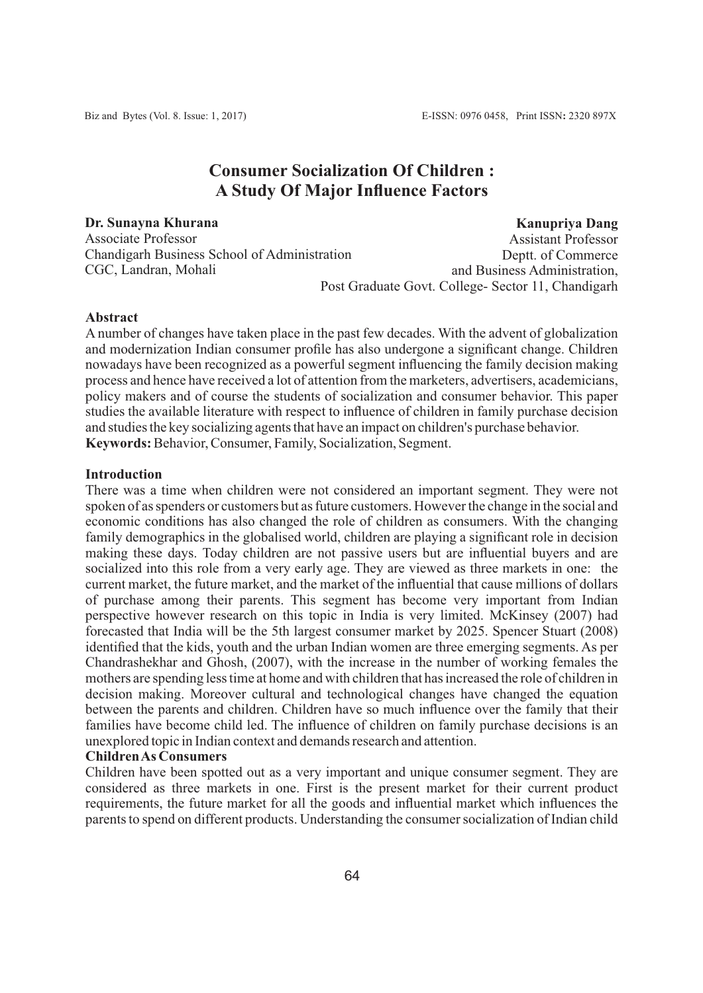# **Consumer Socialization Of Children : A Study Of Major Influence Factors**

**Dr. Sunayna Khurana**  Associate Professor Chandigarh Business School of Administration CGC, Landran, Mohali

**Kanupriya Dang** Assistant Professor Deptt. of Commerce and Business Administration,

Post Graduate Govt. College- Sector 11, Chandigarh

## **Abstract**

A number of changes have taken place in the past few decades. With the advent of globalization and modernization Indian consumer profile has also undergone a significant change. Children nowadays have been recognized as a powerful segment influencing the family decision making process and hence have received a lot of attention from the marketers, advertisers, academicians, policy makers and of course the students of socialization and consumer behavior. This paper studies the available literature with respect to influence of children in family purchase decision and studies the key socializing agents that have an impact on children's purchase behavior. **Keywords:**Behavior, Consumer, Family, Socialization, Segment.

## **Introduction**

There was a time when children were not considered an important segment. They were not spoken of as spenders or customers but as future customers. However the change in the social and economic conditions has also changed the role of children as consumers. With the changing family demographics in the globalised world, children are playing a significant role in decision making these days. Today children are not passive users but are influential buyers and are socialized into this role from a very early age. They are viewed as three markets in one: the current market, the future market, and the market of the influential that cause millions of dollars of purchase among their parents. This segment has become very important from Indian perspective however research on this topic in India is very limited. McKinsey (2007) had forecasted that India will be the 5th largest consumer market by 2025. Spencer Stuart (2008) identified that the kids, youth and the urban Indian women are three emerging segments. As per Chandrashekhar and Ghosh, (2007), with the increase in the number of working females the mothers are spending less time at home and with children that has increased the role of children in decision making. Moreover cultural and technological changes have changed the equation between the parents and children. Children have so much influence over the family that their families have become child led. The influence of children on family purchase decisions is an unexplored topic in Indian context and demands research and attention.

## **Children As Consumers**

Children have been spotted out as a very important and unique consumer segment. They are considered as three markets in one. First is the present market for their current product requirements, the future market for all the goods and influential market which influences the parents to spend on different products. Understanding the consumer socialization of Indian child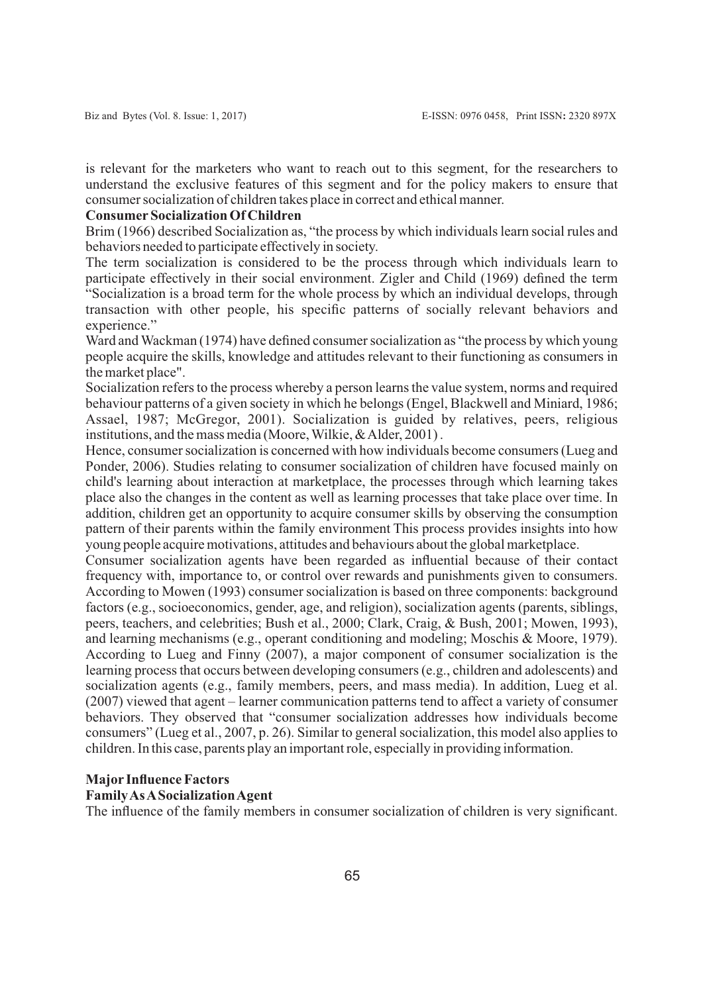is relevant for the marketers who want to reach out to this segment, for the researchers to understand the exclusive features of this segment and for the policy makers to ensure that consumer socialization of children takes place in correct and ethical manner.

#### **ConsumerSocialization Of Children**

Brim (1966) described Socialization as, "the process by which individuals learn social rules and behaviors needed to participate effectively in society.

The term socialization is considered to be the process through which individuals learn to participate effectively in their social environment. Zigler and Child (1969) defined the term "Socialization is a broad term for the whole process by which an individual develops, through transaction with other people, his specific patterns of socially relevant behaviors and experience."

Ward and Wackman (1974) have defined consumer socialization as "the process by which young people acquire the skills, knowledge and attitudes relevant to their functioning as consumers in the market place".

Socialization refers to the process whereby a person learns the value system, norms and required behaviour patterns of a given society in which he belongs (Engel, Blackwell and Miniard, 1986; Assael, 1987; McGregor, 2001). Socialization is guided by relatives, peers, religious institutions, and the mass media (Moore, Wilkie, & Alder, 2001) .

Hence, consumer socialization is concerned with how individuals become consumers (Lueg and Ponder, 2006). Studies relating to consumer socialization of children have focused mainly on child's learning about interaction at marketplace, the processes through which learning takes place also the changes in the content as well as learning processes that take place over time. In addition, children get an opportunity to acquire consumer skills by observing the consumption pattern of their parents within the family environment This process provides insights into how young people acquire motivations, attitudes and behaviours about the global marketplace.

Consumer socialization agents have been regarded as influential because of their contact frequency with, importance to, or control over rewards and punishments given to consumers. According to Mowen (1993) consumer socialization is based on three components: background factors (e.g., socioeconomics, gender, age, and religion), socialization agents (parents, siblings, peers, teachers, and celebrities; Bush et al., 2000; Clark, Craig, & Bush, 2001; Mowen, 1993), and learning mechanisms (e.g., operant conditioning and modeling; Moschis & Moore, 1979). According to Lueg and Finny (2007), a major component of consumer socialization is the learning process that occurs between developing consumers (e.g., children and adolescents) and socialization agents (e.g., family members, peers, and mass media). In addition, Lueg et al. (2007) viewed that agent – learner communication patterns tend to affect a variety of consumer behaviors. They observed that "consumer socialization addresses how individuals become consumers" (Lueg et al., 2007, p. 26). Similar to general socialization, this model also applies to children. In this case, parents play an important role, especially in providing information.

## **Major Influence Factors**

## **Family As ASocialization Agent**

The influence of the family members in consumer socialization of children is very significant.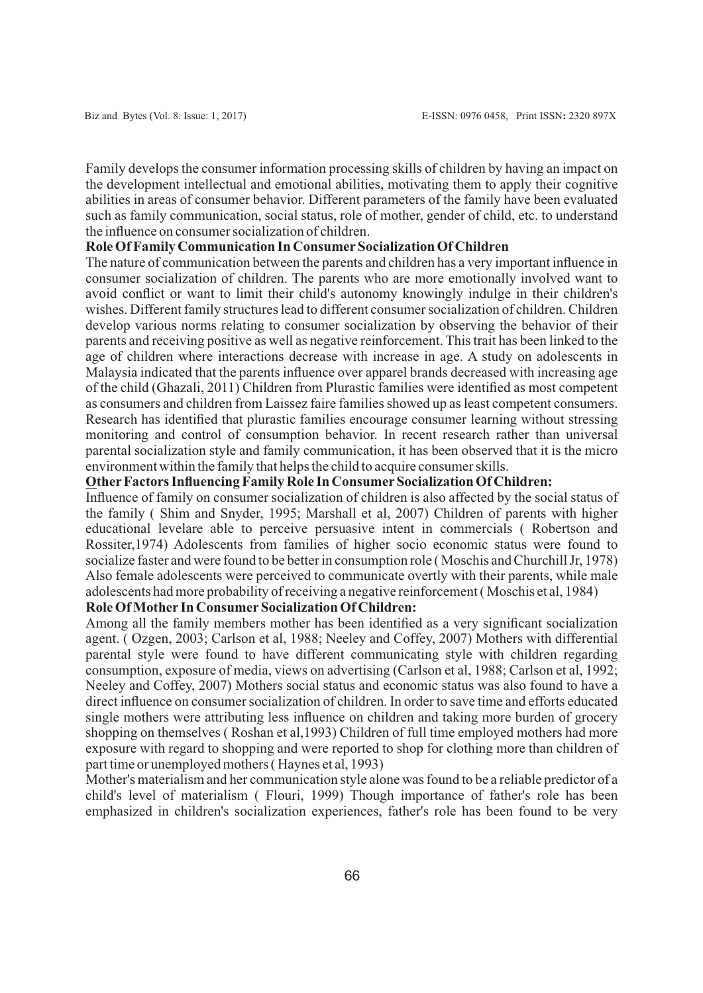Family develops the consumer information processing skills of children by having an impact on the development intellectual and emotional abilities, motivating them to apply their cognitive abilities in areas of consumer behavior. Different parameters of the family have been evaluated such as family communication, social status, role of mother, gender of child, etc. to understand the influence on consumer socialization of children.

## **Role Of Family Communication In ConsumerSocialization Of Children**

The nature of communication between the parents and children has a very important influence in consumer socialization of children. The parents who are more emotionally involved want to avoid conflict or want to limit their child's autonomy knowingly indulge in their children's wishes. Different family structures lead to different consumer socialization of children. Children develop various norms relating to consumer socialization by observing the behavior of their parents and receiving positive as well as negative reinforcement. This trait has been linked to the age of children where interactions decrease with increase in age. A study on adolescents in Malaysia indicated that the parents influence over apparel brands decreased with increasing age of the child (Ghazali, 2011) Children from Plurastic families were identified as most competent as consumers and children from Laissez faire families showed up as least competent consumers. Research has identified that plurastic families encourage consumer learning without stressing monitoring and control of consumption behavior. In recent research rather than universal parental socialization style and family communication, it has been observed that it is the micro environment within the family that helps the child to acquire consumer skills.

#### **OtherFactors Influencing Family Role In ConsumerSocialization Of Children:**

Influence of family on consumer socialization of children is also affected by the social status of the family ( Shim and Snyder, 1995; Marshall et al, 2007) Children of parents with higher educational levelare able to perceive persuasive intent in commercials ( Robertson and Rossiter,1974) Adolescents from families of higher socio economic status were found to socialize faster and were found to be better in consumption role ( Moschis and Churchill Jr, 1978) Also female adolescents were perceived to communicate overtly with their parents, while male adolescents had more probability of receiving a negative reinforcement ( Moschis et al, 1984)

## **Role Of Mother In ConsumerSocialization Of Children:**

Among all the family members mother has been identified as a very significant socialization agent. ( Ozgen, 2003; Carlson et al, 1988; Neeley and Coffey, 2007) Mothers with differential parental style were found to have different communicating style with children regarding consumption, exposure of media, views on advertising (Carlson et al, 1988; Carlson et al, 1992; Neeley and Coffey, 2007) Mothers social status and economic status was also found to have a direct influence on consumer socialization of children. In order to save time and efforts educated single mothers were attributing less influence on children and taking more burden of grocery shopping on themselves ( Roshan et al,1993) Children of full time employed mothers had more exposure with regard to shopping and were reported to shop for clothing more than children of part time or unemployed mothers ( Haynes et al, 1993)

Mother's materialism and her communication style alone was found to be a reliable predictor of a child's level of materialism ( Flouri, 1999) Though importance of father's role has been emphasized in children's socialization experiences, father's role has been found to be very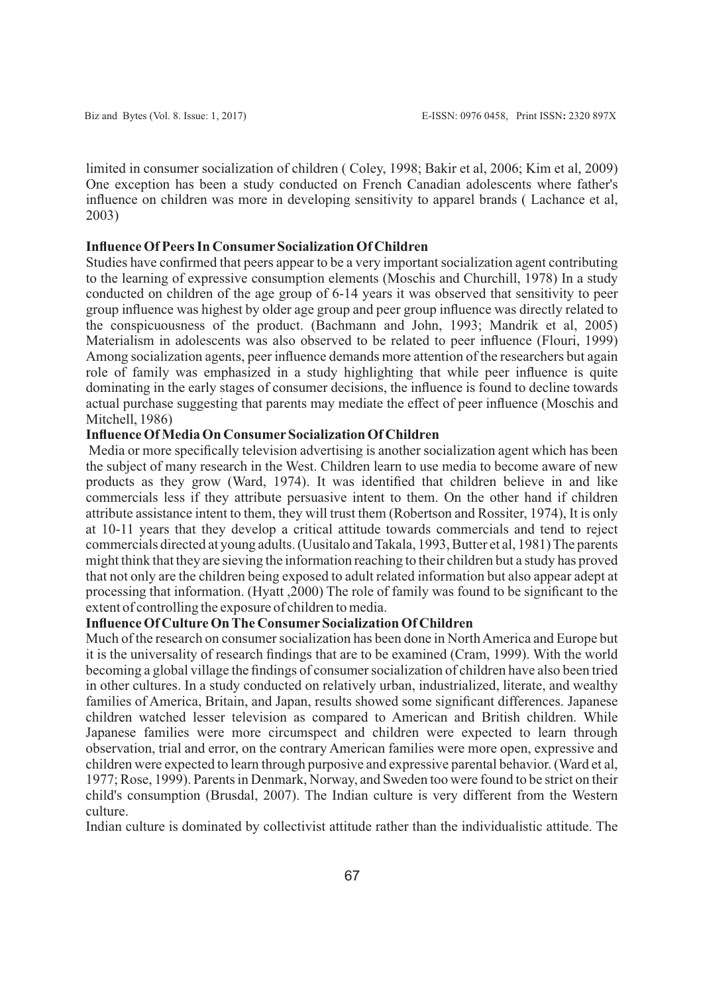limited in consumer socialization of children ( Coley, 1998; Bakir et al, 2006; Kim et al, 2009) One exception has been a study conducted on French Canadian adolescents where father's influence on children was more in developing sensitivity to apparel brands ( Lachance et al, 2003)

## **Influence Of Peers In ConsumerSocialization Of Children**

Studies have confirmed that peers appear to be a very important socialization agent contributing to the learning of expressive consumption elements (Moschis and Churchill, 1978) In a study conducted on children of the age group of 6-14 years it was observed that sensitivity to peer group influence was highest by older age group and peer group influence was directly related to the conspicuousness of the product. (Bachmann and John, 1993; Mandrik et al, 2005) Materialism in adolescents was also observed to be related to peer influence (Flouri, 1999) Among socialization agents, peer influence demands more attention of the researchers but again role of family was emphasized in a study highlighting that while peer influence is quite dominating in the early stages of consumer decisions, the influence is found to decline towards actual purchase suggesting that parents may mediate the effect of peer influence (Moschis and Mitchell, 1986)

## **Influence Of Media On ConsumerSocialization Of Children**

Media or more specifically television advertising is another socialization agent which has been the subject of many research in the West. Children learn to use media to become aware of new products as they grow (Ward, 1974). It was identified that children believe in and like commercials less if they attribute persuasive intent to them. On the other hand if children attribute assistance intent to them, they will trust them (Robertson and Rossiter, 1974), It is only at 10-11 years that they develop a critical attitude towards commercials and tend to reject commercials directed at young adults. (Uusitalo and Takala, 1993, Butter et al, 1981) The parents might think that they are sieving the information reaching to their children but a study has proved that not only are the children being exposed to adult related information but also appear adept at processing that information. (Hyatt ,2000) The role of family was found to be significant to the extent of controlling the exposure of children to media.

## **Influence Of Culture On The ConsumerSocialization Of Children**

Much of the research on consumer socialization has been done in North America and Europe but it is the universality of research findings that are to be examined (Cram, 1999). With the world becoming a global village the findings of consumer socialization of children have also been tried in other cultures. In a study conducted on relatively urban, industrialized, literate, and wealthy families of America, Britain, and Japan, results showed some significant differences. Japanese children watched lesser television as compared to American and British children. While Japanese families were more circumspect and children were expected to learn through observation, trial and error, on the contrary American families were more open, expressive and children were expected to learn through purposive and expressive parental behavior. (Ward et al, 1977; Rose, 1999). Parents in Denmark, Norway, and Sweden too were found to be strict on their child's consumption (Brusdal, 2007). The Indian culture is very different from the Western culture.

Indian culture is dominated by collectivist attitude rather than the individualistic attitude. The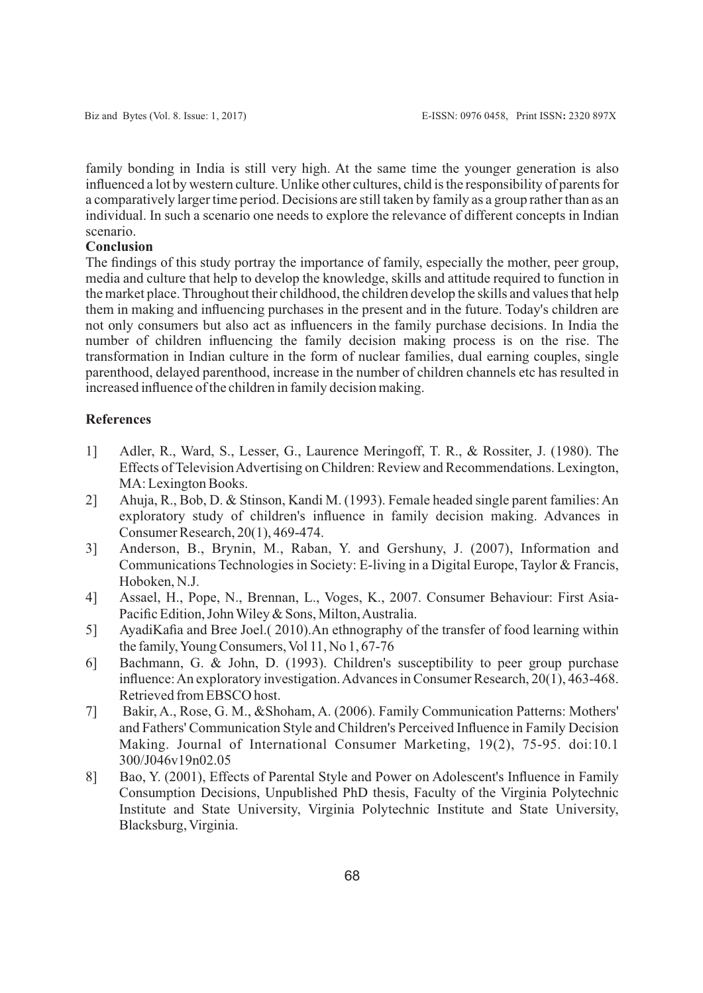family bonding in India is still very high. At the same time the younger generation is also influenced a lot by western culture. Unlike other cultures, child is the responsibility of parents for a comparatively larger time period. Decisions are still taken by family as a group rather than as an individual. In such a scenario one needs to explore the relevance of different concepts in Indian scenario.

## **Conclusion**

The findings of this study portray the importance of family, especially the mother, peer group, media and culture that help to develop the knowledge, skills and attitude required to function in the market place. Throughout their childhood, the children develop the skills and values that help them in making and influencing purchases in the present and in the future. Today's children are not only consumers but also act as influencers in the family purchase decisions. In India the number of children influencing the family decision making process is on the rise. The transformation in Indian culture in the form of nuclear families, dual earning couples, single parenthood, delayed parenthood, increase in the number of children channels etc has resulted in increased influence of the children in family decision making.

## **References**

- 1] Adler, R., Ward, S., Lesser, G., Laurence Meringoff, T. R., & Rossiter, J. (1980). The Effects of Television Advertising on Children: Review and Recommendations. Lexington, MA: Lexington Books.
- 2] Ahuja, R., Bob, D. & Stinson, Kandi M. (1993). Female headed single parent families: An exploratory study of children's influence in family decision making. Advances in Consumer Research, 20(1), 469-474.
- 3] Anderson, B., Brynin, M., Raban, Y. and Gershuny, J. (2007), Information and Communications Technologies in Society: E-living in a Digital Europe, Taylor & Francis, Hoboken, N.J.
- 4] Assael, H., Pope, N., Brennan, L., Voges, K., 2007. Consumer Behaviour: First Asia-Pacific Edition, John Wiley & Sons, Milton, Australia.
- 5] AyadiKafia and Bree Joel.( 2010).An ethnography of the transfer of food learning within the family, Young Consumers, Vol 11, No 1, 67-76
- 6] Bachmann, G. & John, D. (1993). Children's susceptibility to peer group purchase influence: An exploratory investigation. Advances in Consumer Research, 20(1), 463-468. Retrieved from EBSCO host.
- 7] Bakir, A., Rose, G. M., &Shoham, A. (2006). Family Communication Patterns: Mothers' and Fathers' Communication Style and Children's Perceived Influence in Family Decision Making. Journal of International Consumer Marketing, 19(2), 75-95. doi:10.1 300/J046v19n02.05
- 8] Bao, Y. (2001), Effects of Parental Style and Power on Adolescent's Influence in Family Consumption Decisions, Unpublished PhD thesis, Faculty of the Virginia Polytechnic Institute and State University, Virginia Polytechnic Institute and State University, Blacksburg, Virginia.